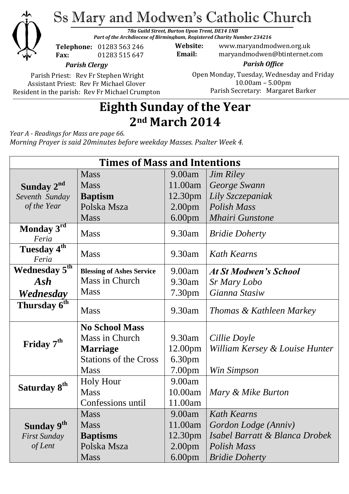

# Ss Mary and Modwen's Catholic Church

*78a Guild Street, Burton Upon Trent, DE14 1NB Part of the Archdiocese of Birmingham, Registered Charity Number 234216*

**Telephone:** 01283 563 246 **Fax:** 01283 515 647

**Website:** www.maryandmodwen.org.uk **Email:** maryandmodwen@btinternet.com

*Parish Clergy*

Parish Priest: Rev Fr Stephen Wright Assistant Priest: Rev Fr Michael Glover Resident in the parish: Rev Fr Michael Crumpton

*Parish Office* Open Monday, Tuesday, Wednesday and Friday 10.00am – 5.00pm Parish Secretary:Margaret Barker

## **Eighth Sunday of the Year 2nd March 2014**

*Year A - Readings for Mass are page 66.*

*Morning Prayer is said 20minutes before weekday Masses. Psalter Week 4.*

| <b>Times of Mass and Intentions</b> |                                  |                    |                                     |
|-------------------------------------|----------------------------------|--------------------|-------------------------------------|
|                                     | <b>Mass</b>                      | 9.00am             | <b>Jim Riley</b>                    |
| Sunday $2^{nd}$                     | <b>Mass</b>                      | 11.00am            | George Swann                        |
| Seventh Sunday                      | <b>Baptism</b>                   | 12.30pm            | Lily Szczepaniak                    |
| of the Year                         | Polska Msza                      | 2.00 <sub>pm</sub> | <b>Polish Mass</b>                  |
|                                     | <b>Mass</b>                      | 6.00 <sub>pm</sub> | <b>Mhairi Gunstone</b>              |
| Monday 3rd<br>Feria                 | <b>Mass</b>                      | 9.30am             | <b>Bridie Doherty</b>               |
| Tuesday 4 <sup>th</sup><br>Feria    | <b>Mass</b>                      | 9.30am             | <b>Kath Kearns</b>                  |
| Wednesday 5 <sup>th</sup>           | <b>Blessing of Ashes Service</b> | 9.00am             | <b>At St Modwen's School</b>        |
| Ash                                 | Mass in Church                   | 9.30am             | Sr Mary Lobo                        |
| Wednesday                           | <b>Mass</b>                      | 7.30pm             | Gianna Stasiw                       |
| Thursday 6 <sup>th</sup>            | <b>Mass</b>                      | 9.30am             | <i>Thomas &amp; Kathleen Markey</i> |
|                                     | <b>No School Mass</b>            |                    |                                     |
| Friday 7 <sup>th</sup>              | Mass in Church                   | 9.30am             | Cillie Doyle                        |
|                                     | <b>Marriage</b>                  | 12.00pm            | William Kersey & Louise Hunter      |
|                                     | <b>Stations of the Cross</b>     | 6.30 <sub>pm</sub> |                                     |
|                                     | <b>Mass</b>                      | 7.00pm             | Win Simpson                         |
| Saturday 8 <sup>th</sup>            | <b>Holy Hour</b>                 | 9.00am             |                                     |
|                                     | <b>Mass</b>                      | 10.00am            | Mary & Mike Burton                  |
|                                     | Confessions until                | 11.00am            |                                     |
|                                     | <b>Mass</b>                      | 9.00am             | Kath Kearns                         |
| Sunday 9th                          | <b>Mass</b>                      | 11.00am            | Gordon Lodge (Anniv)                |
| <b>First Sunday</b>                 | <b>Baptisms</b>                  | 12.30pm            | Isabel Barratt & Blanca Drobek      |
| of Lent                             | Polska Msza                      | 2.00 <sub>pm</sub> | Polish Mass                         |
|                                     | <b>Mass</b>                      | 6.00 <sub>pm</sub> | <b>Bridie Doherty</b>               |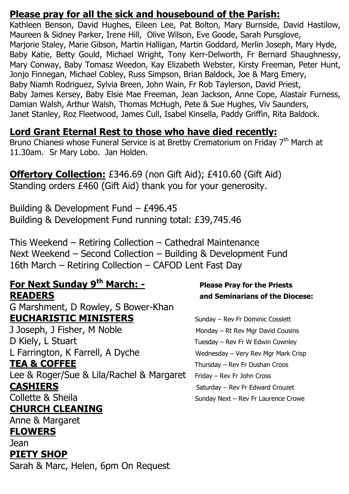### **Please pray for all the sick and housebound of the Parish:**

Kathleen Benson, David Hughes, Eileen Lee, Pat Bolton, Mary Burnside, David Hastilow, Maureen & Sidney Parker, Irene Hill, Olive Wilson, Eve Goode, Sarah Pursglove, Marjorie Staley, Marie Gibson, Martin Halligan, Martin Goddard, Merlin Joseph, Mary Hyde, Baby Katie, Betty Gould, Michael Wright, Tony Kerr-Delworth, Fr Bernard Shaughnessy, Mary Conway, Baby Tomasz Weedon, Kay Elizabeth Webster, Kirsty Freeman, Peter Hunt, Jonjo Finnegan, Michael Cobley, Russ Simpson, Brian Baldock, Joe & Marg Emery, Baby Niamh Rodriguez, Sylvia Breen, John Wain, Fr Rob Taylerson, David Priest, Baby James Kersey, Baby Elsie Mae Freeman, Jean Jackson, Anne Cope, Alastair Furness, Damian Walsh, Arthur Walsh, Thomas McHugh, Pete & Sue Hughes, Viv Saunders, Janet Stanley, Roz Fleetwood, James Cull, Isabel Kinsella, Paddy Griffin, Rita Baldock.

### **Lord Grant Eternal Rest to those who have died recently:**

Bruno Chianesi whose Funeral Service is at Bretby Crematorium on Friday 7<sup>th</sup> March at 11.30am. Sr Mary Lobo. Jan Holden.

**Offertory Collection:** £346.69 (non Gift Aid); £410.60 (Gift Aid) Standing orders £460 (Gift Aid) thank you for your generosity.

Building & Development Fund – £496.45 Building & Development Fund running total: £39,745.46

This Weekend – Retiring Collection – Cathedral Maintenance Next Weekend – Second Collection – Building & Development Fund 16th March – Retiring Collection – CAFOD Lent Fast Day

### **For Next Sunday 9th March: - Please Pray for the Priests READERS and Seminarians of the Diocese:**

G Marshment, D Rowley, S Bower-Khan **EUCHARISTIC MINISTERS** Sunday – Rev Fr Dominic Cosslett

J Joseph, J Fisher, M Noble Monday – Rt Rev Mgr David Cousins D Kiely, L Stuart Tuesday – Rev Fr W Edwin Cownley L Farrington, K Farrell, A Dyche Wednesday – Very Rev Mgr Mark Crisp **TEA & COFFEE** Thursday – Rev Fr Dushan Croos Lee & Roger/Sue & Lila/Rachel & Margaret Friday - Rev Fr John Cross

# **CHURCH CLEANING**

Anne & Margaret

### **FLOWERS**

Jean

### **PIETY SHOP**

Sarah & Marc, Helen, 6pm On Request

**CASHIERS** Saturday – Rev Fr Edward Crouzet Collette & Sheila Sunday Next – Rev Fr Laurence Crowe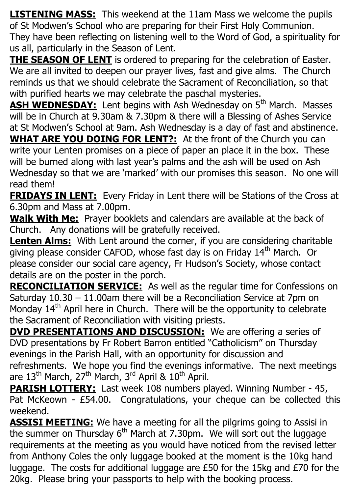**LISTENING MASS:** This weekend at the 11am Mass we welcome the pupils of St Modwen's School who are preparing for their First Holy Communion. They have been reflecting on listening well to the Word of God, a spirituality for us all, particularly in the Season of Lent.

**THE SEASON OF LENT** is ordered to preparing for the celebration of Easter. We are all invited to deepen our prayer lives, fast and give alms. The Church reminds us that we should celebrate the Sacrament of Reconciliation, so that with purified hearts we may celebrate the paschal mysteries.

**ASH WEDNESDAY:** Lent begins with Ash Wednesday on 5<sup>th</sup> March. Masses will be in Church at 9.30am & 7.30pm & there will a Blessing of Ashes Service at St Modwen's School at 9am. Ash Wednesday is a day of fast and abstinence.

**WHAT ARE YOU DOING FOR LENT?:** At the front of the Church you can write your Lenten promises on a piece of paper an place it in the box. These will be burned along with last year's palms and the ash will be used on Ash Wednesday so that we are 'marked' with our promises this season. No one will read them!

**FRIDAYS IN LENT:** Every Friday in Lent there will be Stations of the Cross at 6.30pm and Mass at 7.00pm.

**Walk With Me:** Prayer booklets and calendars are available at the back of Church. Any donations will be gratefully received.

**Lenten Alms:** With Lent around the corner, if you are considering charitable giving please consider CAFOD, whose fast day is on Friday 14<sup>th</sup> March. Or please consider our social care agency, Fr Hudson's Society, whose contact details are on the poster in the porch.

**RECONCILIATION SERVICE:** As well as the regular time for Confessions on Saturday 10.30 – 11.00am there will be a Reconciliation Service at 7pm on Monday  $14<sup>th</sup>$  April here in Church. There will be the opportunity to celebrate the Sacrament of Reconciliation with visiting priests.

**DVD PRESENTATIONS AND DISCUSSION:** We are offering a series of DVD presentations by Fr Robert Barron entitled "Catholicism" on Thursday evenings in the Parish Hall, with an opportunity for discussion and refreshments. We hope you find the evenings informative. The next meetings are 13<sup>th</sup> March, 27<sup>th</sup> March, 3<sup>rd</sup> April & 10<sup>th</sup> April.

**PARISH LOTTERY:** Last week 108 numbers played. Winning Number - 45, Pat McKeown - £54.00. Congratulations, your cheque can be collected this weekend.

**ASSISI MEETING:** We have a meeting for all the pilgrims going to Assisi in the summer on Thursday  $6<sup>th</sup>$  March at 7.30pm. We will sort out the luggage requirements at the meeting as you would have noticed from the revised letter from Anthony Coles the only luggage booked at the moment is the 10kg hand luggage. The costs for additional luggage are £50 for the 15kg and £70 for the 20kg. Please bring your passports to help with the booking process.